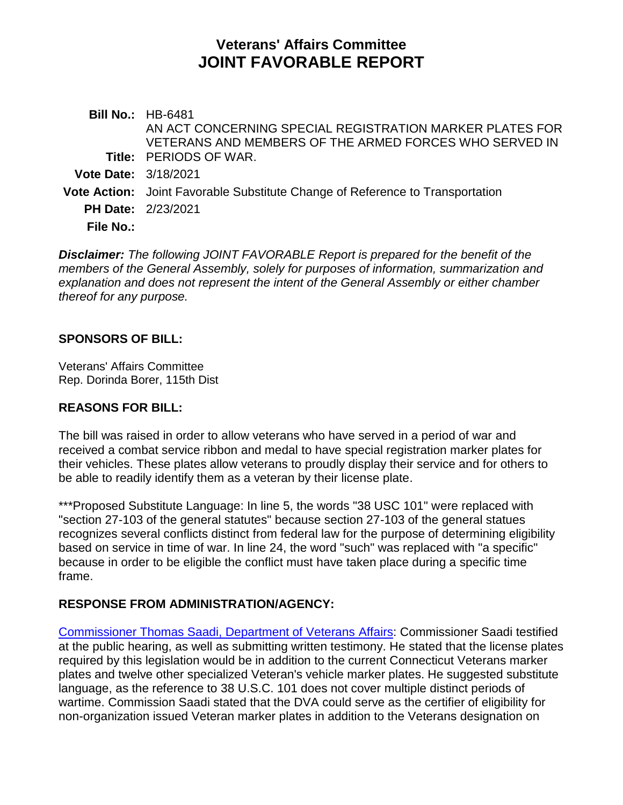# **Veterans' Affairs Committee JOINT FAVORABLE REPORT**

**Bill No.:** HB-6481 **Title:** PERIODS OF WAR. AN ACT CONCERNING SPECIAL REGISTRATION MARKER PLATES FOR VETERANS AND MEMBERS OF THE ARMED FORCES WHO SERVED IN **Vote Date:** 3/18/2021 **Vote Action:** Joint Favorable Substitute Change of Reference to Transportation **PH Date:** 2/23/2021 **File No.:**

*Disclaimer: The following JOINT FAVORABLE Report is prepared for the benefit of the members of the General Assembly, solely for purposes of information, summarization and explanation and does not represent the intent of the General Assembly or either chamber thereof for any purpose.*

## **SPONSORS OF BILL:**

Veterans' Affairs Committee Rep. Dorinda Borer, 115th Dist

## **REASONS FOR BILL:**

The bill was raised in order to allow veterans who have served in a period of war and received a combat service ribbon and medal to have special registration marker plates for their vehicles. These plates allow veterans to proudly display their service and for others to be able to readily identify them as a veteran by their license plate.

\*\*\*Proposed Substitute Language: In line 5, the words "38 USC 101" were replaced with "section 27-103 of the general statutes" because section 27-103 of the general statues recognizes several conflicts distinct from federal law for the purpose of determining eligibility based on service in time of war. In line 24, the word "such" was replaced with "a specific" because in order to be eligible the conflict must have taken place during a specific time frame.

## **RESPONSE FROM ADMINISTRATION/AGENCY:**

[Commissioner Thomas Saadi, Department of Veterans Affairs:](https://www.cga.ct.gov/2021/VAdata/Tmy/2021HB-06481-R000223-Saadi,%20Thomas%20J.,%20Commissioner-Department%20of%20Veterans%20Affairs-Mixed-TMY.PDF) Commissioner Saadi testified at the public hearing, as well as submitting written testimony. He stated that the license plates required by this legislation would be in addition to the current Connecticut Veterans marker plates and twelve other specialized Veteran's vehicle marker plates. He suggested substitute language, as the reference to 38 U.S.C. 101 does not cover multiple distinct periods of wartime. Commission Saadi stated that the DVA could serve as the certifier of eligibility for non-organization issued Veteran marker plates in addition to the Veterans designation on